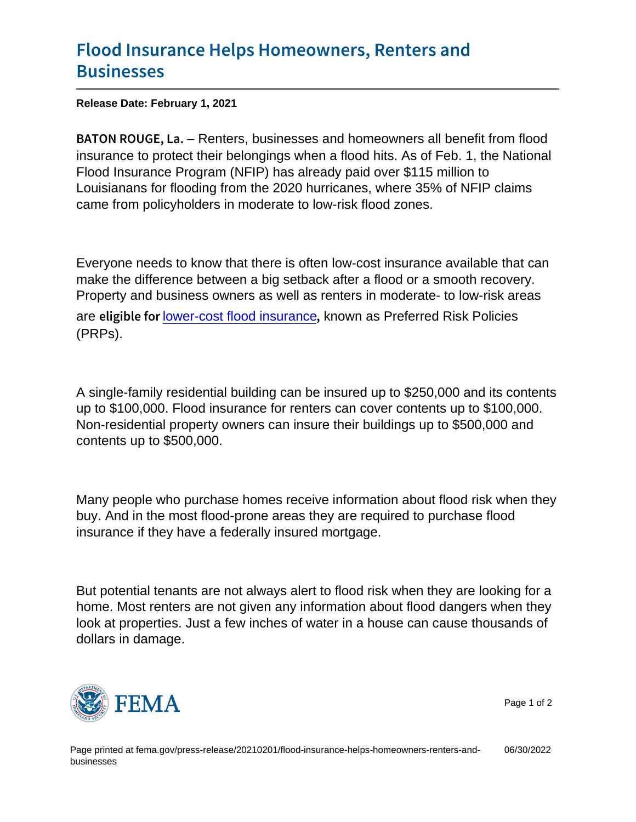## [Flood Insurance Helps Homeo](https://www.fema.gov/press-release/20210201/flood-insurance-helps-homeowners-renters-and-businesses)wners, Rente [Busine](https://www.fema.gov/press-release/20210201/flood-insurance-helps-homeowners-renters-and-businesses)sses

Release Date: February 1, 2021

BATON ROUGREntet sabusinesses and homeowners all benefit from flood insurance to protect their belongings when a flood hits. As of Feb. 1, the National Flood Insurance Program (NFIP) has already paid over \$115 million to Louisianans for flooding from the 2020 hurricanes, where 35% of NFIP claims came from policyholders in moderate to low-risk flood zones.

Everyone needs to know that there is often low-cost insurance available that can make the difference between a big setback after a flood or a smooth recovery. Property and business owners as well as renters in moderate- to low-risk areas are eligible when cost flood insurance, known as Preferred Risk Policies (PRPs).

A single-family residential building can be insured up to \$250,000 and its contents up to \$100,000. Flood insurance for renters can cover contents up to \$100,000. Non-residential property owners can insure their buildings up to \$500,000 and contents up to \$500,000.

Many people who purchase homes receive information about flood risk when they buy. And in the most flood-prone areas they are required to purchase flood insurance if they have a federally insured mortgage.

But potential tenants are not always alert to flood risk when they are looking for a home. Most renters are not given any information about flood dangers when they look at properties. Just a few inches of water in a house can cause thousands of dollars in damage.



Page 1 of 2